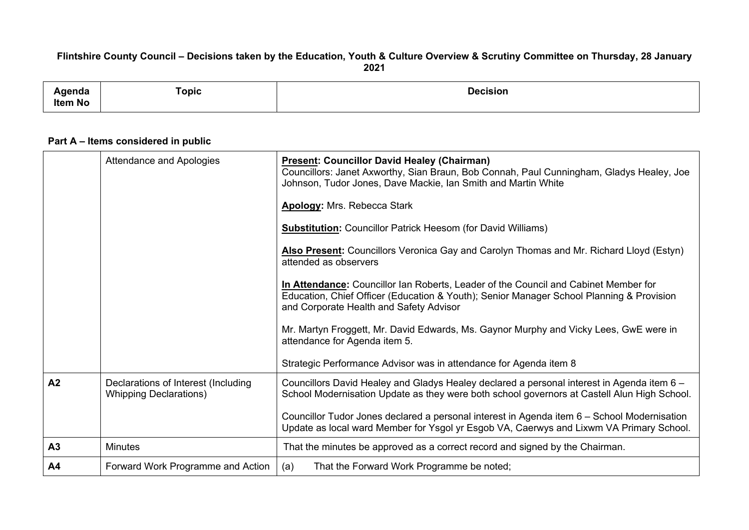## Flintshire County Council - Decisions taken by the Education, Youth & Culture Overview & Scrutiny Committee on Thursday, 28 January **2021**

| ------<br>поа<br>$-1 - 1 - 1 = 1$<br><b>Item No</b> | <b>Communication of the Communication</b><br>⊺opic<br>and the state of the state of the state of | <b>Decision</b><br>. |
|-----------------------------------------------------|--------------------------------------------------------------------------------------------------|----------------------|
|                                                     |                                                                                                  |                      |

## **Part A – Items considered in public**

|                | Attendance and Apologies                                             | <b>Present: Councillor David Healey (Chairman)</b><br>Councillors: Janet Axworthy, Sian Braun, Bob Connah, Paul Cunningham, Gladys Healey, Joe<br>Johnson, Tudor Jones, Dave Mackie, Ian Smith and Martin White            |
|----------------|----------------------------------------------------------------------|----------------------------------------------------------------------------------------------------------------------------------------------------------------------------------------------------------------------------|
|                |                                                                      | <b>Apology: Mrs. Rebecca Stark</b>                                                                                                                                                                                         |
|                |                                                                      | <b>Substitution:</b> Councillor Patrick Heesom (for David Williams)                                                                                                                                                        |
|                |                                                                      | Also Present: Councillors Veronica Gay and Carolyn Thomas and Mr. Richard Lloyd (Estyn)<br>attended as observers                                                                                                           |
|                |                                                                      | In Attendance: Councillor Ian Roberts, Leader of the Council and Cabinet Member for<br>Education, Chief Officer (Education & Youth); Senior Manager School Planning & Provision<br>and Corporate Health and Safety Advisor |
|                |                                                                      | Mr. Martyn Froggett, Mr. David Edwards, Ms. Gaynor Murphy and Vicky Lees, GwE were in<br>attendance for Agenda item 5.                                                                                                     |
|                |                                                                      | Strategic Performance Advisor was in attendance for Agenda item 8                                                                                                                                                          |
| A2             | Declarations of Interest (Including<br><b>Whipping Declarations)</b> | Councillors David Healey and Gladys Healey declared a personal interest in Agenda item 6 -<br>School Modernisation Update as they were both school governors at Castell Alun High School.                                  |
|                |                                                                      | Councillor Tudor Jones declared a personal interest in Agenda item 6 - School Modernisation<br>Update as local ward Member for Ysgol yr Esgob VA, Caerwys and Lixwm VA Primary School.                                     |
| A <sub>3</sub> | <b>Minutes</b>                                                       | That the minutes be approved as a correct record and signed by the Chairman.                                                                                                                                               |
| A <sub>4</sub> | Forward Work Programme and Action                                    | (a)<br>That the Forward Work Programme be noted;                                                                                                                                                                           |